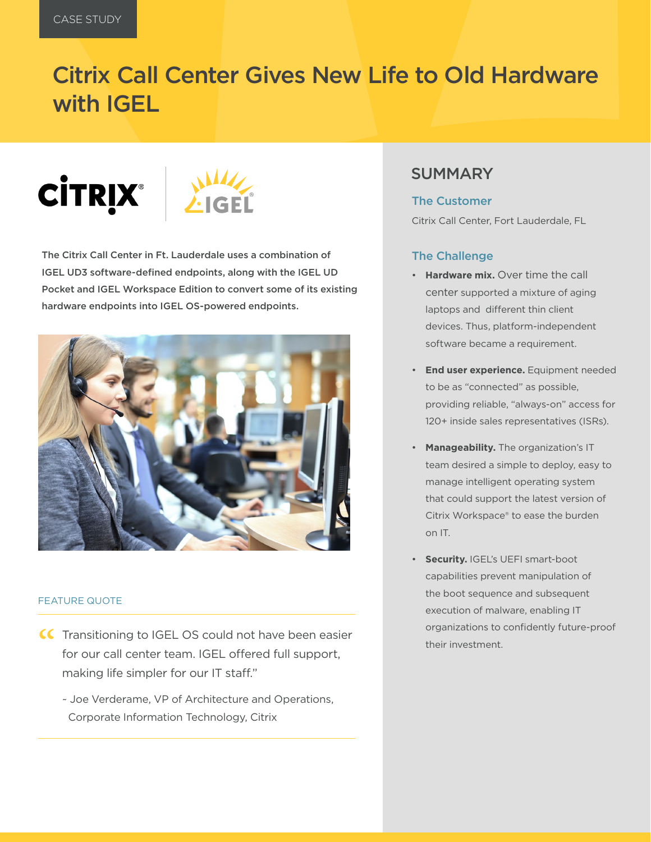## Citrix Call Center Gives New Life to Old Hardware with IGEL

# **CITRIX®**



The Citrix Call Center in Ft. Lauderdale uses a combination of IGEL UD3 software-defined endpoints, along with the IGEL UD Pocket and IGEL Workspace Edition to convert some of its existing hardware endpoints into IGEL OS-powered endpoints.



#### FEATURE QUOTE

- CC Transitioning to IGEL OS could not have been easier<br>for our call center team. IGEL offered full support,<br>making life simpler for our IT staff." for our call center team. IGEL offered full support, making life simpler for our IT staff."
	- ~ Joe Verderame, VP of Architecture and Operations, Corporate Information Technology, Citrix

### **SUMMARY**

#### The Customer

Citrix Call Center, Fort Lauderdale, FL

#### The Challenge

- **Hardware mix.** Over time the call center supported a mixture of aging laptops and different thin client devices. Thus, platform-independent software became a requirement.
- **End user experience.** Equipment needed to be as "connected" as possible, providing reliable, "always-on" access for 120+ inside sales representatives (ISRs).
- **Manageability.** The organization's IT team desired a simple to deploy, easy to manage intelligent operating system that could support the latest version of Citrix Workspace® to ease the burden on IT.
- **Security.** IGEL's UEFI smart-boot capabilities prevent manipulation of the boot sequence and subsequent execution of malware, enabling IT organizations to confidently future-proof their investment.